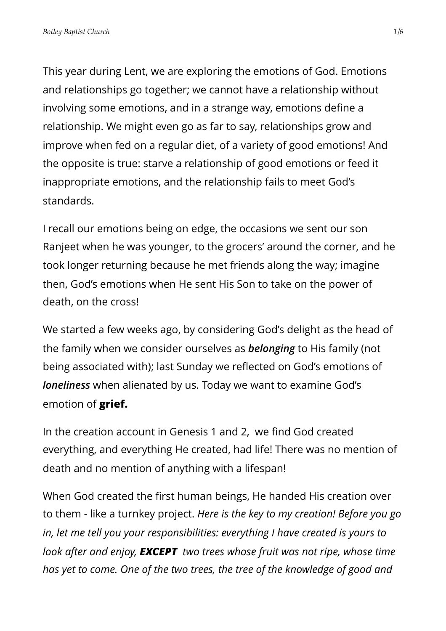This year during Lent, we are exploring the emotions of God. Emotions and relationships go together; we cannot have a relationship without involving some emotions, and in a strange way, emotions define a relationship. We might even go as far to say, relationships grow and improve when fed on a regular diet, of a variety of good emotions! And the opposite is true: starve a relationship of good emotions or feed it inappropriate emotions, and the relationship fails to meet God's standards.

I recall our emotions being on edge, the occasions we sent our son Ranjeet when he was younger, to the grocers' around the corner, and he took longer returning because he met friends along the way; imagine then, God's emotions when He sent His Son to take on the power of death, on the cross!

We started a few weeks ago, by considering God's delight as the head of the family when we consider ourselves as *belonging* to His family (not being associated with); last Sunday we reflected on God's emotions of *loneliness* when alienated by us. Today we want to examine God's emotion of **grief.**

In the creation account in Genesis 1 and 2, we find God created everything, and everything He created, had life! There was no mention of death and no mention of anything with a lifespan!

When God created the first human beings, He handed His creation over to them - like a turnkey project. *Here is the key to my creation! Before you go in, let me tell you your responsibilities: everything I have created is yours to look after and enjoy, EXCEPT two trees whose fruit was not ripe, whose time has yet to come. One of the two trees, the tree of the knowledge of good and*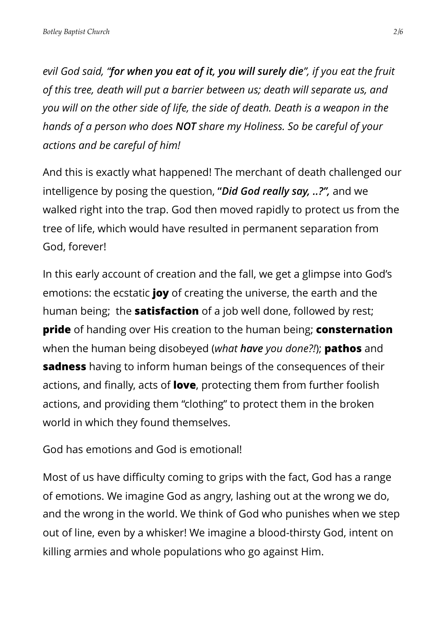*evil God said, "for when you eat of it, you will surely die", if you eat the fruit of this tree, death will put a barrier between us; death will separate us, and you will on the other side of life, the side of death. Death is a weapon in the hands of a person who does NOT share my Holiness. So be careful of your actions and be careful of him!* 

And this is exactly what happened! The merchant of death challenged our intelligence by posing the question, **"***Did God really say, ..?",* and we walked right into the trap. God then moved rapidly to protect us from the tree of life, which would have resulted in permanent separation from God, forever!

In this early account of creation and the fall, we get a glimpse into God's emotions: the ecstatic **joy** of creating the universe, the earth and the human being; the **satisfaction** of a job well done, followed by rest; **pride** of handing over His creation to the human being; **consternation** when the human being disobeyed (*what have you done?!*); **pathos** and **sadness** having to inform human beings of the consequences of their actions, and finally, acts of **love**, protecting them from further foolish actions, and providing them "clothing" to protect them in the broken world in which they found themselves.

God has emotions and God is emotional!

Most of us have difficulty coming to grips with the fact, God has a range of emotions. We imagine God as angry, lashing out at the wrong we do, and the wrong in the world. We think of God who punishes when we step out of line, even by a whisker! We imagine a blood-thirsty God, intent on killing armies and whole populations who go against Him.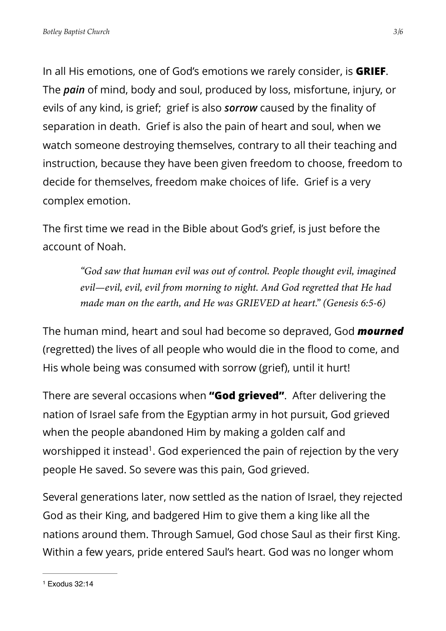In all His emotions, one of God's emotions we rarely consider, is **GRIEF**. The *pain* of mind, body and soul, produced by loss, misfortune, injury, or evils of any kind, is grief; grief is also *sorrow* caused by the finality of separation in death. Grief is also the pain of heart and soul, when we watch someone destroying themselves, contrary to all their teaching and instruction, because they have been given freedom to choose, freedom to decide for themselves, freedom make choices of life. Grief is a very complex emotion.

The first time we read in the Bible about God's grief, is just before the account of Noah.

> *"God saw that human evil was out of control. People thought evil, imagined evil—evil, evil, evil from morning to night. And God regretted that He had made man on the earth, and He was GRIEVED at heart." (Genesis 6:5-6)*

The human mind, heart and soul had become so depraved, God *mourned* (regretted) the lives of all people who would die in the flood to come, and His whole being was consumed with sorrow (grief), until it hurt!

There are several occasions when **"God grieved"**. After delivering the nation of Israel safe from the Egyptian army in hot pursuit, God grieved when the people abandoned Him by making a golden calf and worshipped it instead<sup>[1](#page-2-0)</sup>. God experienced the pain of rejection by the very people He saved. So severe was this pain, God grieved.

<span id="page-2-1"></span><span id="page-2-0"></span>Several generations later, now settled as the nation of Israel, they rejected God as their King, and badgered Him to give them a king like all the nations around them. Through Samuel, God chose Saul as their first King. Within a few years, pride entered Saul's heart. God was no longer whom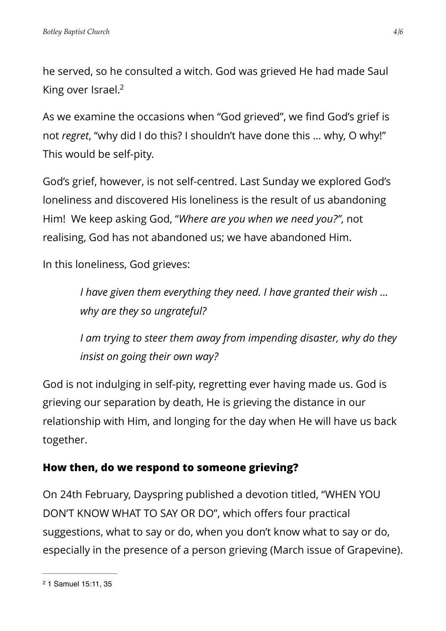he served, so he consulted a witch. God was grieved He had made Saul King over Israel[.](#page-3-0)<sup>[2](#page-3-0)</sup>

<span id="page-3-1"></span>As we examine the occasions when "God grieved", we find God's grief is not *regret*, "why did I do this? I shouldn't have done this … why, O why!" This would be self-pity.

God's grief, however, is not self-centred. Last Sunday we explored God's loneliness and discovered His loneliness is the result of us abandoning Him! We keep asking God, "*Where are you when we need you?"*, not realising, God has not abandoned us; we have abandoned Him.

In this loneliness, God grieves:

*I have given them everything they need. I have granted their wish … why are they so ungrateful?*

*I am trying to steer them away from impending disaster, why do they insist on going their own way?*

God is not indulging in self-pity, regretting ever having made us. God is grieving our separation by death, He is grieving the distance in our relationship with Him, and longing for the day when He will have us back together.

## **How then, do we respond to someone grieving?**

On 24th February, Dayspring published a devotion titled, "WHEN YOU DON'T KNOW WHAT TO SAY OR DO", which offers four practical suggestions, what to say or do, when you don't know what to say or do, especially in the presence of a person grieving (March issue of Grapevine).

<span id="page-3-0"></span><sup>&</sup>lt;sup>[2](#page-3-1)</sup> 1 Samuel 15:11, 35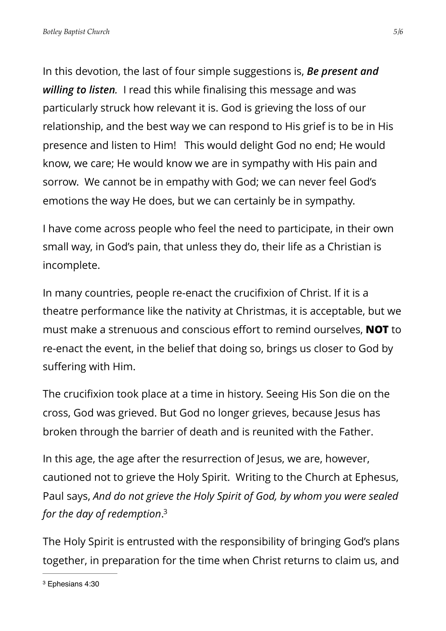In this devotion, the last of four simple suggestions is, *Be present and willing to listen.* I read this while finalising this message and was particularly struck how relevant it is. God is grieving the loss of our relationship, and the best way we can respond to His grief is to be in His presence and listen to Him! This would delight God no end; He would know, we care; He would know we are in sympathy with His pain and sorrow. We cannot be in empathy with God; we can never feel God's emotions the way He does, but we can certainly be in sympathy.

I have come across people who feel the need to participate, in their own small way, in God's pain, that unless they do, their life as a Christian is incomplete.

In many countries, people re-enact the crucifixion of Christ. If it is a theatre performance like the nativity at Christmas, it is acceptable, but we must make a strenuous and conscious effort to remind ourselves, **NOT** to re-enact the event, in the belief that doing so, brings us closer to God by suffering with Him.

The crucifixion took place at a time in history. Seeing His Son die on the cross, God was grieved. But God no longer grieves, because Jesus has broken through the barrier of death and is reunited with the Father.

In this age, the age after the resurrection of Jesus, we are, however, cautioned not to grieve the Holy Spirit. Writing to the Church at Ephesus, Paul says, *And do not grieve the Holy Spirit of God, by whom you were sealed for the day of redemption*[.](#page-4-0) [3](#page-4-0)

<span id="page-4-1"></span>The Holy Spirit is entrusted with the responsibility of bringing God's plans together, in preparation for the time when Christ returns to claim us, and

<span id="page-4-0"></span><sup>&</sup>lt;sup>[3](#page-4-1)</sup> Ephesians 4:30